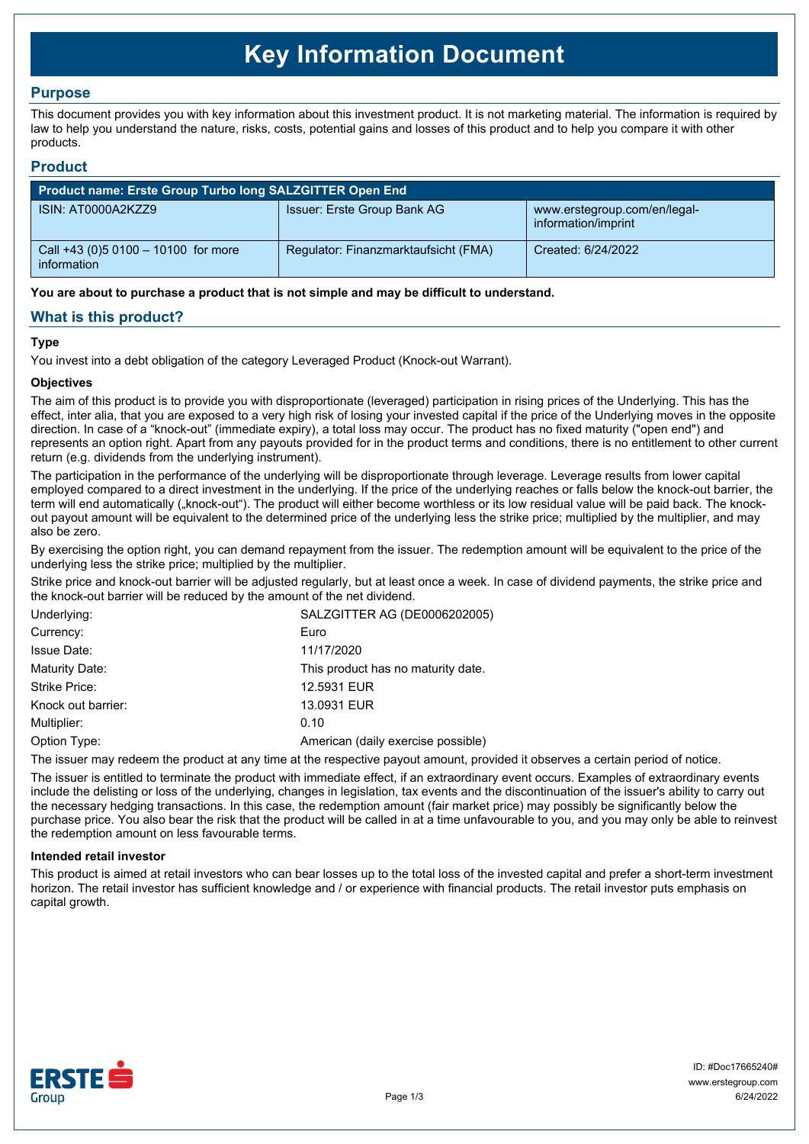# **Key Information Document**

# **Purpose**

This document provides you with key information about this investment product. It is not marketing material. The information is required by law to help you understand the nature, risks, costs, potential gains and losses of this product and to help you compare it with other products.

## **Product**

| Product name: Erste Group Turbo long SALZGITTER Open End |                                      |                                                     |  |  |
|----------------------------------------------------------|--------------------------------------|-----------------------------------------------------|--|--|
| ISIN: AT0000A2KZZ9                                       | Issuer: Erste Group Bank AG          | www.erstegroup.com/en/legal-<br>information/imprint |  |  |
| Call +43 (0) 5 0100 - 10100 for more<br>information      | Regulator: Finanzmarktaufsicht (FMA) | Created: 6/24/2022                                  |  |  |

**You are about to purchase a product that is not simple and may be difficult to understand.**

# **What is this product?**

## **Type**

You invest into a debt obligation of the category Leveraged Product (Knock-out Warrant).

## **Objectives**

The aim of this product is to provide you with disproportionate (leveraged) participation in rising prices of the Underlying. This has the effect, inter alia, that you are exposed to a very high risk of losing your invested capital if the price of the Underlying moves in the opposite direction. In case of a "knock-out" (immediate expiry), a total loss may occur. The product has no fixed maturity ("open end") and represents an option right. Apart from any payouts provided for in the product terms and conditions, there is no entitlement to other current return (e.g. dividends from the underlying instrument).

The participation in the performance of the underlying will be disproportionate through leverage. Leverage results from lower capital employed compared to a direct investment in the underlying. If the price of the underlying reaches or falls below the knock-out barrier, the term will end automatically ("knock-out"). The product will either become worthless or its low residual value will be paid back. The knockout payout amount will be equivalent to the determined price of the underlying less the strike price; multiplied by the multiplier, and may also be zero.

By exercising the option right, you can demand repayment from the issuer. The redemption amount will be equivalent to the price of the underlying less the strike price; multiplied by the multiplier.

Strike price and knock-out barrier will be adjusted regularly, but at least once a week. In case of dividend payments, the strike price and the knock-out barrier will be reduced by the amount of the net dividend.

| Underlying:        | SALZGITTER AG (DE0006202005)       |  |
|--------------------|------------------------------------|--|
| Currency:          | Euro                               |  |
| <b>Issue Date:</b> | 11/17/2020                         |  |
| Maturity Date:     | This product has no maturity date. |  |
| Strike Price:      | 12,5931 EUR                        |  |
| Knock out barrier: | 13.0931 EUR                        |  |
| Multiplier:        | 0.10                               |  |
| Option Type:       | American (daily exercise possible) |  |
|                    |                                    |  |

The issuer may redeem the product at any time at the respective payout amount, provided it observes a certain period of notice.

The issuer is entitled to terminate the product with immediate effect, if an extraordinary event occurs. Examples of extraordinary events include the delisting or loss of the underlying, changes in legislation, tax events and the discontinuation of the issuer's ability to carry out the necessary hedging transactions. In this case, the redemption amount (fair market price) may possibly be significantly below the purchase price. You also bear the risk that the product will be called in at a time unfavourable to you, and you may only be able to reinvest the redemption amount on less favourable terms.

#### **Intended retail investor**

This product is aimed at retail investors who can bear losses up to the total loss of the invested capital and prefer a short-term investment horizon. The retail investor has sufficient knowledge and / or experience with financial products. The retail investor puts emphasis on capital growth.

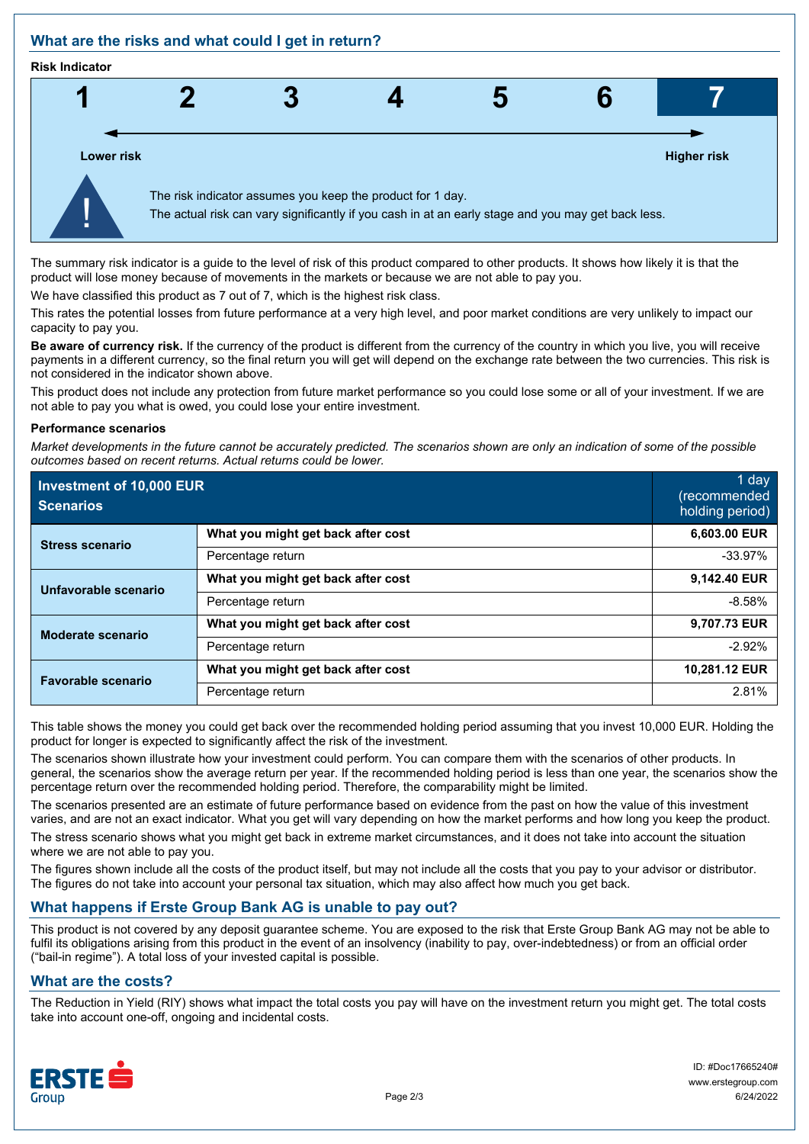# **What are the risks and what could I get in return?**

#### **Risk Indicator**



The summary risk indicator is a guide to the level of risk of this product compared to other products. It shows how likely it is that the product will lose money because of movements in the markets or because we are not able to pay you.

We have classified this product as 7 out of 7, which is the highest risk class.

This rates the potential losses from future performance at a very high level, and poor market conditions are very unlikely to impact our capacity to pay you.

**Be aware of currency risk.** If the currency of the product is different from the currency of the country in which you live, you will receive payments in a different currency, so the final return you will get will depend on the exchange rate between the two currencies. This risk is not considered in the indicator shown above.

This product does not include any protection from future market performance so you could lose some or all of your investment. If we are not able to pay you what is owed, you could lose your entire investment.

#### **Performance scenarios**

*Market developments in the future cannot be accurately predicted. The scenarios shown are only an indication of some of the possible outcomes based on recent returns. Actual returns could be lower.*

| Investment of 10,000 EUR<br><b>Scenarios</b> |                                    | 1 day<br>(recommended<br>holding period) |
|----------------------------------------------|------------------------------------|------------------------------------------|
| <b>Stress scenario</b>                       | What you might get back after cost | 6,603.00 EUR                             |
|                                              | Percentage return                  | $-33.97%$                                |
| Unfavorable scenario                         | What you might get back after cost | 9,142.40 EUR                             |
|                                              | Percentage return                  | $-8.58%$                                 |
| <b>Moderate scenario</b>                     | What you might get back after cost | 9,707.73 EUR                             |
|                                              | Percentage return                  | $-2.92%$                                 |
| <b>Favorable scenario</b>                    | What you might get back after cost | 10,281.12 EUR                            |
|                                              | Percentage return                  | 2.81%                                    |

This table shows the money you could get back over the recommended holding period assuming that you invest 10,000 EUR. Holding the product for longer is expected to significantly affect the risk of the investment.

The scenarios shown illustrate how your investment could perform. You can compare them with the scenarios of other products. In general, the scenarios show the average return per year. If the recommended holding period is less than one year, the scenarios show the percentage return over the recommended holding period. Therefore, the comparability might be limited.

The scenarios presented are an estimate of future performance based on evidence from the past on how the value of this investment varies, and are not an exact indicator. What you get will vary depending on how the market performs and how long you keep the product.

The stress scenario shows what you might get back in extreme market circumstances, and it does not take into account the situation where we are not able to pay you.

The figures shown include all the costs of the product itself, but may not include all the costs that you pay to your advisor or distributor. The figures do not take into account your personal tax situation, which may also affect how much you get back.

# **What happens if Erste Group Bank AG is unable to pay out?**

This product is not covered by any deposit guarantee scheme. You are exposed to the risk that Erste Group Bank AG may not be able to fulfil its obligations arising from this product in the event of an insolvency (inability to pay, over-indebtedness) or from an official order ("bail-in regime"). A total loss of your invested capital is possible.

# **What are the costs?**

The Reduction in Yield (RIY) shows what impact the total costs you pay will have on the investment return you might get. The total costs take into account one-off, ongoing and incidental costs.